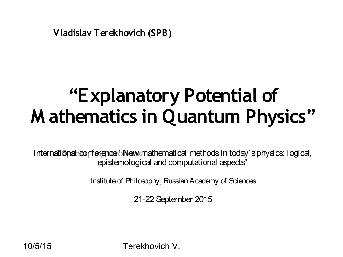**Vladislav Terekhovich (SPB)** 

# **"Explanatory Potential of M athematics in Quantum Physics"**

International conference "New mathematical methods in today's physics: logical, epistemological and computational aspects"

Institute of Philosophy, Russian Academy of Sciences

21-22 September 2015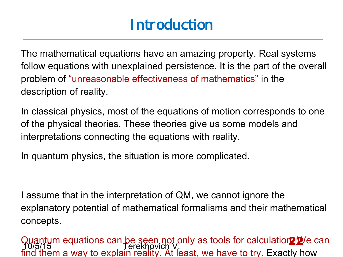#### **Introduction**

The mathematical equations have an amazing property. Real systems follow equations with unexplained persistence. It is the part of the overall problem of "unreasonable effectiveness of mathematics" in the description of reality.

In classical physics, most of the equations of motion corresponds to one of the physical theories. These theories give us some models and interpretations connecting the equations with reality.

In quantum physics, the situation is more complicated.

I assume that in the interpretation of QM, we cannot ignore the explanatory potential of mathematical formalisms and their mathematical concepts.

10/5/15 Terekhovich V. Quantum equations can be seen not only as tools for calculation<sup>2</sup><sup>2</sup>/e can find them a way to explain reality. At least, we have to try. Exactly how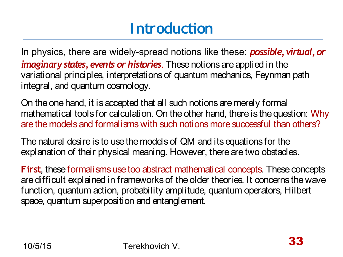# **Introduction**

In physics, there are widely-spread notions like these: *possible, virtual, or imaginary states, events or histories*. These notions are applied in the variational principles, interpretations of quantum mechanics, Feynman path integral, and quantum cosmology.

On the one hand, it is accepted that all such notions are merely formal mathematical tools for calculation. On the other hand, there is the question: Why are the models and formalisms with such notions more successful than others?

The natural desire is to use the models of QM and its equations for the explanation of their physical meaning. However, there are two obstacles.

**First**, these formalisms use too abstract mathematical concepts. These concepts are difficult explained in frameworks of the older theories. It concerns the wave function, quantum action, probability amplitude, quantum operators, Hilbert space, quantum superposition and entanglement.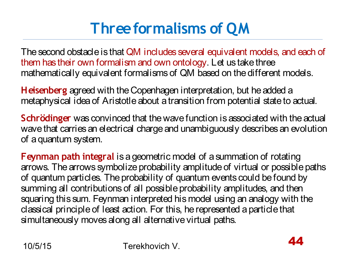# **Three formalisms of QM**

The second obstacle is that QM includes several equivalent models, and each of them has their own formalism and own ontology. Let us take three mathematically equivalent formalisms of QM based on the different models.

**Heisenberg** agreed with the Copenhagen interpretation, but he added a metaphysical idea of Aristotle about a transition from potential state to actual.

**Schrödinger** was convinced that the wave function is associated with the actual wave that carries an electrical charge and unambiguously describes an evolution of a quantum system.

**Feynman path integral** is a geometric model of a summation of rotating arrows. The arrows symbolize probability amplitude of virtual or possible paths of quantum particles. The probability of quantum events could be found by summing all contributions of all possible probability amplitudes, and then squaring this sum. Feynman interpreted his model using an analogy with the classical principle of least action. For this, he represented a particle that simultaneously moves along all alternative virtual paths.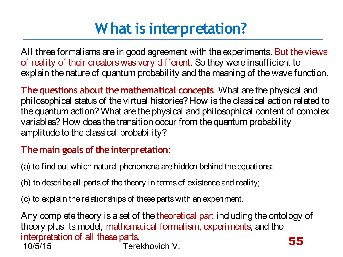# **What is interpretation?**

All three formalisms are in good agreement with the experiments. But the views of reality of their creators was very different. So they were insufficient to explain the nature of quantum probability and the meaning of the wave function.

**The questions about the mathematical concepts**. What are the physical and philosophical status of the virtual histories? How is the classical action related to the quantum action? What are the physical and philosophical content of complex variables? How does the transition occur from the quantum probability amplitude to the classical probability?

#### **The main goals of the interpretation**:

(a) to find out which natural phenomena are hidden behind the equations;

(b) to describe all parts of the theory in terms of existence and reality;

(c) to explain the relationships of these parts with an experiment.

10/5/15 Terekhovich V. Any complete theory is a set of the theoretical part including the ontology of theory plus its model, mathematical formalism, experiments, and the interpretation of all these parts. 55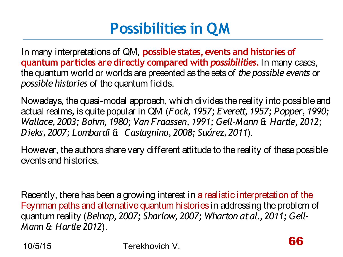# **Possibilities in QM**

In many interpretations of QM, **possible states, events and histories of quantum particles are directly compared with** *possibilities.* In many cases, the quantum world or worlds are presented as the sets of *the possible events* or *possible histories* of the quantum fields.

Nowadays, the quasi-modal approach, which divides the reality into possible and actual realms*,* is quite popular in QM (*Fock, 1957; Everett, 1957; Popper, 1990; Wallace, 2003; Bohm, 1980; Van Fraassen, 1991; Gell-Mann & Hartle, 2012; Dieks, 2007; Lombardi & Castagnino, 2008; Suárez, 2011*).

However, the authors share very different attitude to the reality of these possible events and histories.

Recently, there has been a growing interest in a realistic interpretation of the Feynman paths and alternative quantum histories in addressing the problem of quantum reality (*Belnap, 2007; Sharlow, 2007; Wharton at al., 2011; Gell-Mann & Hartle 2012*).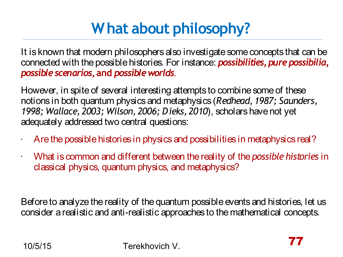# **What about philosophy?**

It is known that modern philosophers also investigate some concepts that can be connected with the possible histories. For instance: *possibilities, pure possibilia, possible scenarios***, and** *possible worlds*.

However, in spite of several interesting attempts to combine some of these notions in both quantum physics and metaphysics (*Redhead, 1987; Saunders, 1998; Wallace, 2003; Wilson, 2006; Dieks, 2010*), scholars have not yet adequately addressed two central questions:

- $\cdot$  Are the possible histories in physics and possibilities in metaphysics real?
- What is common and different between the reality of the *possible histories* in classical physics, quantum physics, and metaphysics?

Before to analyze the reality of the quantum possible events and histories, let us consider a realistic and anti-realistic approaches to the mathematical concepts.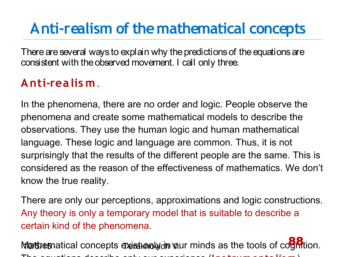#### **Anti-realism of the mathematical concepts**

There are several ways to explain why the predictions of the equations are consistent with the observed movement. I call only three.

#### **Anti-realis m**.

In the phenomena, there are no order and logic. People observe the phenomena and create some mathematical models to describe the observations. They use the human logic and human mathematical language. These logic and language are common. Thus, it is not surprisingly that the results of the different people are the same. This is considered as the reason of the effectiveness of mathematics. We don't know the true reality.

There are only our perceptions, approximations and logic constructions. Any theory is only a temporary model that is suitable to describe a certain kind of the phenomena.

Marthematical concepts existion with your minds as the tools of cognition. The equations describe only our experience (**Ins trumentalis m** ).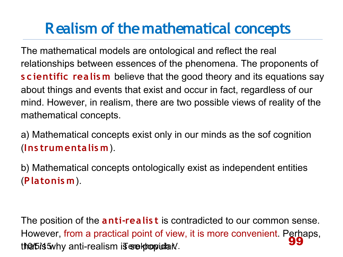#### **Realism of the mathematical concepts**

The mathematical models are ontological and reflect the real relationships between essences of the phenomena. The proponents of **s c ientific realis m** believe that the good theory and its equations say about things and events that exist and occur in fact, regardless of our mind. However, in realism, there are two possible views of reality of the mathematical concepts.

a) Mathematical concepts exist only in our minds as the sof cognition (**Ins trumentalis m** ).

b) Mathematical concepts ontologically exist as independent entities (**Platonis m**).

tha 15/5 Terminism is the popular V. The position of the **anti-realis t** is contradicted to our common sense. However, from a practical point of view, it is more convenient. Perhaps, 99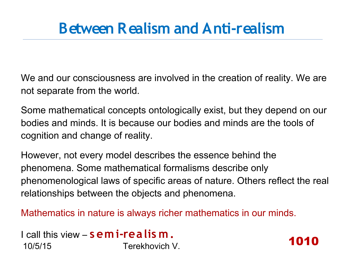#### **Between Realism and Anti-realism**

We and our consciousness are involved in the creation of reality. We are not separate from the world.

Some mathematical concepts ontologically exist, but they depend on our bodies and minds. It is because our bodies and minds are the tools of cognition and change of reality.

However, not every model describes the essence behind the phenomena. Some mathematical formalisms describe only phenomenological laws of specific areas of nature. Others reflect the real relationships between the objects and phenomena.

1010

Mathematics in nature is always richer mathematics in our minds.

```
10/5/15 Terekhovich V.
I call this view – s emi-realis m.
```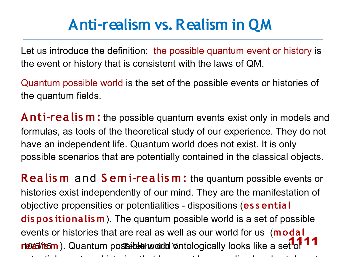#### **Anti-realism vs. Realism in QM**

Let us introduce the definition: the possible quantum event or history is the event or history that is consistent with the laws of QM.

Quantum possible world is the set of the possible events or histories of the quantum fields.

**Anti-realis m:** the possible quantum events exist only in models and formulas, as tools of the theoretical study of our experience. They do not have an independent life. Quantum world does not exist. It is only possible scenarios that are potentially contained in the classical objects.

rte*talits*m). Quantum postsible how do the logically looks like a set of 111 **Realis m** and **S emi-realis m:** the quantum possible events or histories exist independently of our mind. They are the manifestation of objective propensities or potentialities - dispositions (**es s ential dis pos itionalis m**). The quantum possible world is a set of possible events or histories that are real as well as our world for us (**modal**  potential events or histories that have not been realized and yet do not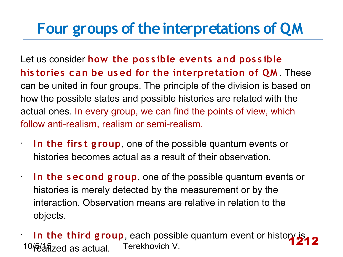#### **Four groups of the interpretations of QM**

Let us consider **how the pos s ible events and pos s ible his tories c an be us ed for the interpretation of QM** . These can be united in four groups. The principle of the division is based on how the possible states and possible histories are related with the actual ones. In every group, we can find the points of view, which follow anti-realism, realism or semi-realism.

**In the firs t g roup**, one of the possible quantum events or histories becomes actual as a result of their observation.

•

•

•

**In the s ec ond g roup**, one of the possible quantum events or histories is merely detected by the measurement or by the interaction. Observation means are relative in relation to the objects.

10 Feahzed as actual. Terekhovich V. **In the third group**, each possible quantum event or history is 1212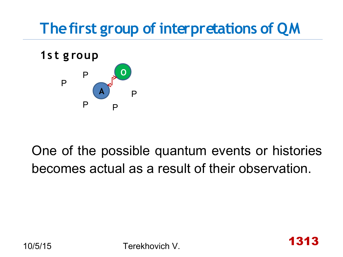# **The first group of interpretations of QM**



One of the possible quantum events or histories becomes actual as a result of their observation.

1313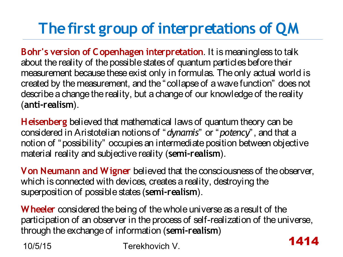# **The first group of interpretations of QM**

**Bohr's version of Copenhagen interpretation**. It is meaningless to talk about the reality of the possible states of quantum particles before their measurement because these exist only in formulas. The only actual world is created by the measurement, and the "collapse of a wave function" does not describe a change the reality, but a change of our knowledge of the reality (**anti-realism**).

**Heisenberg** believed that mathematical laws of quantum theory can be considered in Aristotelian notions of "*dynamis*" or "*potency*", and that a notion of "possibility" occupies an intermediate position between objective material reality and subjective reality (**semi-realism**).

**Von Neumann and Wigner** believed that the consciousness of the observer, which is connected with devices, creates a reality, destroying the superposition of possible states (**semi-realism**).

**Wheeler** considered the being of the whole universe as a result of the participation of an observer in the process of self-realization of the universe, through the exchange of information (**semi-realism**) 1414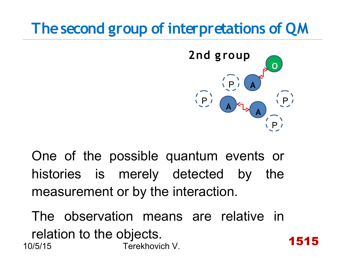

1515

One of the possible quantum events or histories is merely detected by the measurement or by the interaction.

10/5/15 Terekhovich V. The observation means are relative in relation to the objects.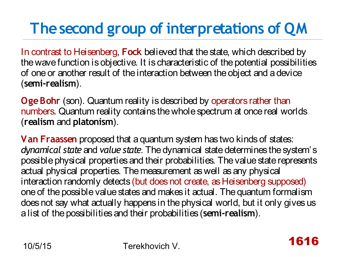In contrast to Heisenberg, **Fock** believed that the state, which described by the wave function is objective. It is characteristic of the potential possibilities of one or another result of the interaction between the object and a device (**semi-realism**).

**Oge Bohr** (son). Quantum reality is described by operators rather than numbers. Quantum reality contains the whole spectrum at once real worlds (**realism** and **platonism**).

**Van Fraassen** proposed that a quantum system has two kinds of states: *dynamical state* and *value state*. The dynamical state determines the system's possible physical properties and their probabilities. The value state represents actual physical properties. The measurement as well as any physical interaction randomly detects (but does not create, as Heisenberg supposed) one of the possible value states and makes it actual. The quantum formalism does not say what actually happens in the physical world, but it only gives us a list of the possibilities and their probabilities (**semi-realism**).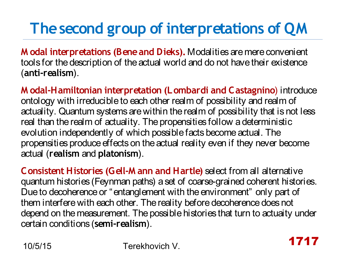**M odal interpretations (Bene and Dieks).** Modalities are mere convenient tools for the description of the actual world and do not have their existence (**anti-realism**).

**M odal-Hamiltonian interpretation (Lombardi and Castagnino**) introduce ontology with irreducible to each other realm of possibility and realm of actuality. Quantum systems are within the realm of possibility that is not less real than the realm of actuality. The propensities follow a deterministic evolution independently of which possible facts become actual. The propensities produce effects on the actual reality even if they never become actual (**realism** and **platonism**).

**Consistent Histories (Gell-M ann and Hartle)** select from all alternative quantum histories (Feynman paths) a set of coarse-grained coherent histories. Due to decoherence or "entanglement with the environment" only part of them interfere with each other. The reality before decoherence does not depend on the measurement. The possible histories that turn to actuaity under certain conditions (**semi-realism**).

1717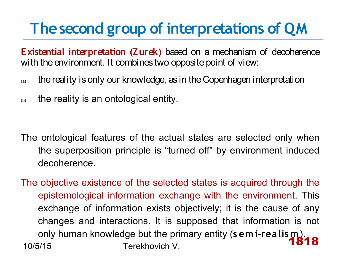**Existential interpretation (Zurek)** based on a mechanism of decoherence with the environment. It combines two opposite point of view:

- $\alpha$  the reality is only our knowledge, as in the Copenhagen interpretation
- $\mathcal{L}_{(b)}$  the reality is an ontological entity.

- The ontological features of the actual states are selected only when the superposition principle is "turned off" by environment induced decoherence.
- 10/5/15 Terekhovich V. The objective existence of the selected states is acquired through the epistemological information exchange with the environment. This exchange of information exists objectively; it is the cause of any changes and interactions. It is supposed that information is not only human knowledge but the primary entity (**s emi-realis m**). 1818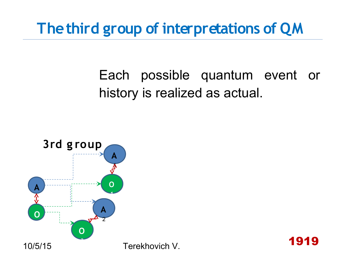#### **The third group of interpretations of QM**

#### Each possible quantum event or history is realized as actual.



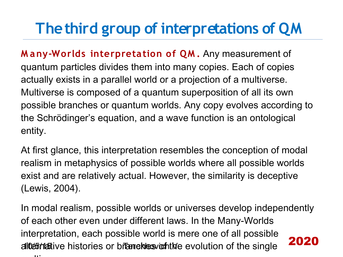## **The third group of interpretations of QM**

**M any-Worlds interpretation of QM .** Any measurement of quantum particles divides them into many copies. Each of copies actually exists in a parallel world or a projection of a multiverse. Multiverse is composed of a quantum superposition of all its own possible branches or quantum worlds. Any copy evolves according to the Schrödinger's equation, and a wave function is an ontological entity.

At first glance, this interpretation resembles the conception of modal realism in metaphysics of possible worlds where all possible worlds exist and are relatively actual. However, the similarity is deceptive (Lewis, 2004).

alcernative histories or branches or the evolution of the single In modal realism, possible worlds or universes develop independently of each other even under different laws. In the Many-Worlds interpretation, each possible world is mere one of all possible multiple and the second control of the second second control of the second second second second second second second second second second second second second second second second second second second second second second 2020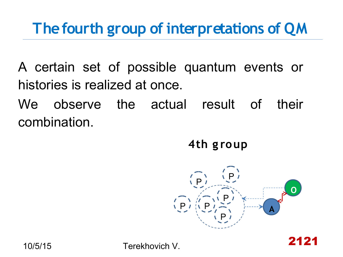#### **The fourth group of interpretations of QM**

A certain set of possible quantum events or histories is realized at once.

We observe the actual result of their combination.

**4th g roup**

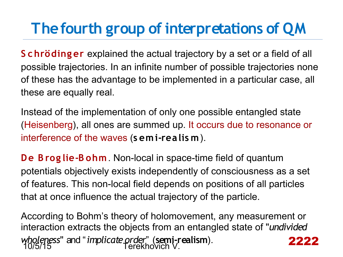### **The fourth group of interpretations of QM**

**S chröding er** explained the actual trajectory by a set or a field of all possible trajectories. In an infinite number of possible trajectories none of these has the advantage to be implemented in a particular case, all these are equally real.

Instead of the implementation of only one possible entangled state (Heisenberg), all ones are summed up. It occurs due to resonance or interference of the waves (**s emi-realis m**).

**De B rog lie-B ohm**. Non-local in space-time field of quantum potentials objectively exists independently of consciousness as a set of features. This non-local field depends on positions of all particles that at once influence the actual trajectory of the particle.

10/5/15 Terekhovich V. According to Bohm's theory of holomovement, any measurement or interaction extracts the objects from an entangled state of "*undivided wholeness*" and "*implicate order*" (**semi-realism**). 2222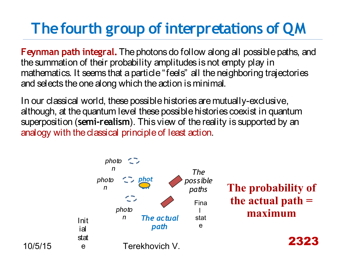# **The fourth group of interpretations of QM**

**Feynman path integral.** The photons do follow along all possible paths, and the summation of their probability amplitudes is not empty play in mathematics. It seems that a particle "feels" all the neighboring trajectories and selects the one along which the action is minimal.

In our classical world, these possible histories are mutually-exclusive, although, at the quantum level these possible histories coexist in quantum superposition (**semi-realism**). This view of the reality is supported by an analogy with the classical principle of least action.

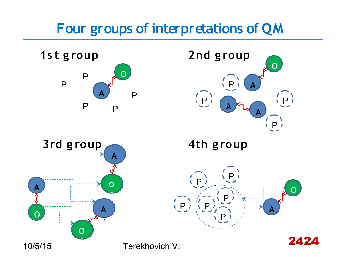#### **Four groups of interpretations of QM**







**4th g roup**



2424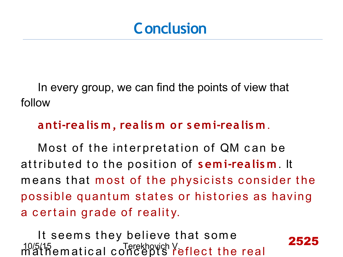#### **Conclusion**

In every group, we can find the points of view that follow

#### **anti-realis m, realis m or s emi-realis m** .

Most of the interpretation of QM can be attributed to the position of semi-realism. It means that most of the physicists consider the possible quantum states or histories as having a certain grade of reality.

2525

10/5/15 Terekhovich V. It seems they believe that some mathematical concepts reflect the real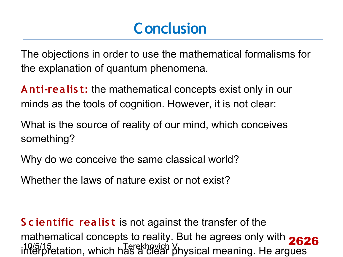### **Conclusion**

The objections in order to use the mathematical formalisms for the explanation of quantum phenomena.

**Anti-realis t:** the mathematical concepts exist only in our minds as the tools of cognition. However, it is not clear:

What is the source of reality of our mind, which conceives something?

Why do we conceive the same classical world?

Whether the laws of nature exist or not exist?

10/5/15<br>interpretation, which has a clear physical meaning. He argues **S c ientific realis t** is not against the transfer of the mathematical concepts to reality. But he agrees only with 2626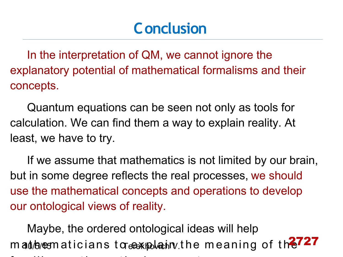#### **Conclusion**

In the interpretation of QM, we cannot ignore the explanatory potential of mathematical formalisms and their concepts.

Quantum equations can be seen not only as tools for calculation. We can find them a way to explain reality. At least, we have to try.

If we assume that mathematics is not limited by our brain, but in some degree reflects the real processes, we should use the mathematical concepts and operations to develop our ontological views of reality.

mand/bunesmaticians toreo-exploatiny.the meaning of th 2727 Maybe, the ordered ontological ideas will help fam iliar m at hem at ice al c once extending the second concerns of the second concerns of the second concerns of the second concerns of the second concerns of the second concerns of the second concerns of the second conc